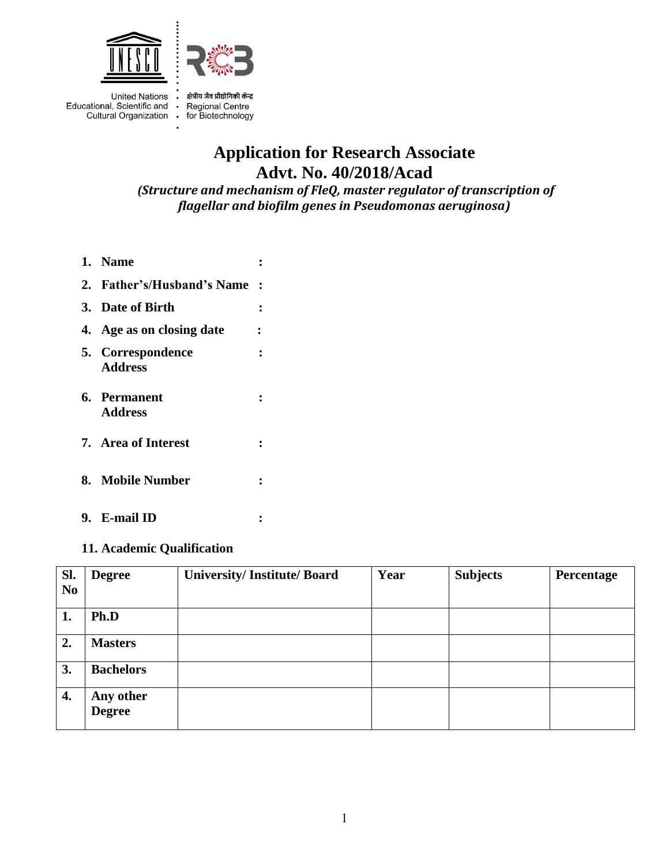

Educational, Scientific and • Regional Centre Cultural Organization · for Biotechnology

United Nations . क्षेत्रीय जैव प्रौद्योगिकी केन्द्र

# **Application for Research Associate Advt. No. 40/2018/Acad**

*(Structure and mechanism of FleQ, master regulator of transcription of flagellar and biofilm genes in Pseudomonas aeruginosa)*

- **1. Name : 2. Father's/Husband's Name : 3. Date of Birth : 4. Age as on closing date : 5. Correspondence : Address 6. Permanent : Address**
- **7. Area of Interest :**
- **8. Mobile Number :**
- **9. E-mail ID :**

#### **11. Academic Qualification**

| Sl.<br>N <sub>o</sub> | <b>Degree</b>              | <b>University/Institute/Board</b> | Year | <b>Subjects</b> | Percentage |
|-----------------------|----------------------------|-----------------------------------|------|-----------------|------------|
| 1.                    | Ph.D                       |                                   |      |                 |            |
| 2.                    | <b>Masters</b>             |                                   |      |                 |            |
| 3.                    | <b>Bachelors</b>           |                                   |      |                 |            |
| 4.                    | Any other<br><b>Degree</b> |                                   |      |                 |            |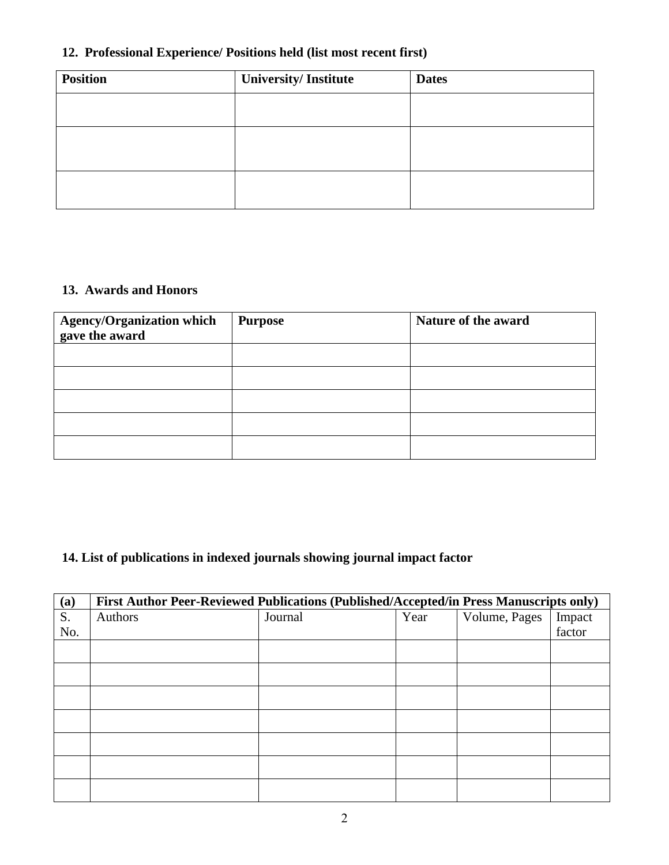# **12. Professional Experience/ Positions held (list most recent first)**

| <b>Position</b> | University/Institute | <b>Dates</b> |
|-----------------|----------------------|--------------|
|                 |                      |              |
|                 |                      |              |
|                 |                      |              |

### **13. Awards and Honors**

| Agency/Organization which<br>gave the award | <b>Purpose</b> | Nature of the award |
|---------------------------------------------|----------------|---------------------|
|                                             |                |                     |
|                                             |                |                     |
|                                             |                |                     |
|                                             |                |                     |
|                                             |                |                     |

## **14. List of publications in indexed journals showing journal impact factor**

| (a) | First Author Peer-Reviewed Publications (Published/Accepted/in Press Manuscripts only) |         |      |               |        |
|-----|----------------------------------------------------------------------------------------|---------|------|---------------|--------|
| S.  | Authors                                                                                | Journal | Year | Volume, Pages | Impact |
| No. |                                                                                        |         |      |               | factor |
|     |                                                                                        |         |      |               |        |
|     |                                                                                        |         |      |               |        |
|     |                                                                                        |         |      |               |        |
|     |                                                                                        |         |      |               |        |
|     |                                                                                        |         |      |               |        |
|     |                                                                                        |         |      |               |        |
|     |                                                                                        |         |      |               |        |
|     |                                                                                        |         |      |               |        |